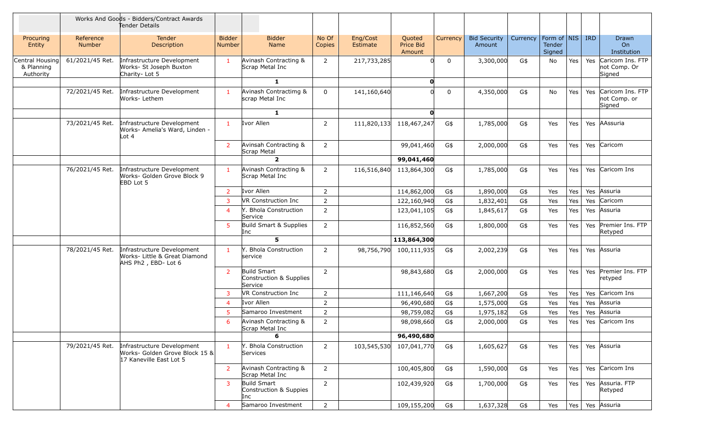|                                            |                     | Works And Goods - Bidders/Contract Awards<br>Tender Details                             |                         |                                                   |                 |                      |                               |              |                               |          |                                         |     |     |                                            |
|--------------------------------------------|---------------------|-----------------------------------------------------------------------------------------|-------------------------|---------------------------------------------------|-----------------|----------------------|-------------------------------|--------------|-------------------------------|----------|-----------------------------------------|-----|-----|--------------------------------------------|
| Procuring<br>Entity                        | Reference<br>Number | Tender<br>Description                                                                   | <b>Bidder</b><br>Number | <b>Bidder</b><br>Name                             | No Of<br>Copies | Eng/Cost<br>Estimate | Quoted<br>Price Bid<br>Amount | Currency     | <b>Bid Security</b><br>Amount | Currency | Form of   NIS   IRD<br>Tender<br>Signed |     |     | Drawn<br>On<br>Institution                 |
| Central Housing<br>& Planning<br>Authority | 61/2021/45 Ret.     | Infrastructure Development<br>Works- St Joseph Buxton<br>Charity-Lot 5                  | $\mathbf{1}$            | Avinash Contracting &<br>Scrap Metal Inc          | $\overline{2}$  | 217,733,285          |                               | $\mathbf 0$  | 3,300,000                     | G\$      | No                                      | Yes | Yes | Caricom Ins. FTP<br>not Comp. Or<br>Signed |
|                                            |                     |                                                                                         |                         | $\mathbf{1}$                                      |                 |                      | $\mathbf{O}$                  |              |                               |          |                                         |     |     |                                            |
|                                            | 72/2021/45 Ret.     | Infrastructure Development<br>Works- Lethem                                             | $\mathbf{1}$            | Avinash Contractimg &<br>scrap Metal Inc          | 0               | 141,160,640          |                               | $\mathbf{0}$ | 4,350,000                     | G\$      | No                                      | Yes | Yes | Caricom Ins. FTP<br>not Comp. or<br>Signed |
|                                            |                     |                                                                                         |                         | $\mathbf{1}$                                      |                 |                      | $\mathbf{O}$                  |              |                               |          |                                         |     |     |                                            |
|                                            | 73/2021/45 Ret.     | Infrastructure Development<br>Works- Amelia's Ward, Linden -<br>Lot 4                   | $\mathbf{1}$            | Ivor Allen                                        | 2               | 111,820,133          | 118,467,247                   | G\$          | 1,785,000                     | G\$      | Yes                                     | Yes | Yes | AAssuria                                   |
|                                            |                     |                                                                                         | $\overline{2}$          | Avinsah Contracting &<br>Scrap Metal              | $\overline{2}$  |                      | 99,041,460                    | G\$          | 2,000,000                     | G\$      | Yes                                     | Yes | Yes | Caricom                                    |
|                                            |                     |                                                                                         |                         | $\overline{2}$                                    |                 |                      | 99,041,460                    |              |                               |          |                                         |     |     |                                            |
|                                            | 76/2021/45 Ret.     | Infrastructure Development<br>Works- Golden Grove Block 9<br>EBD Lot 5                  | $\mathbf{1}$            | Avinash Contracting &<br>Scrap Metal Inc          | $\overline{2}$  | 116,516,840          | 113,864,300                   | G\$          | 1,785,000                     | G\$      | Yes                                     | Yes |     | Yes Caricom Ins                            |
|                                            |                     |                                                                                         | $\overline{2}$          | Ivor Allen                                        | 2               |                      | 114,862,000                   | G\$          | 1,890,000                     | G\$      | Yes                                     | Yes | Yes | Assuria                                    |
|                                            |                     |                                                                                         | $\overline{3}$          | <b>VR Construction Inc</b>                        | $\overline{2}$  |                      | 122,160,940                   | G\$          | 1,832,401                     | G\$      | Yes                                     | Yes | Yes | Caricom                                    |
|                                            |                     |                                                                                         | $\overline{4}$          | Y. Bhola Construction<br>Service                  | $\overline{2}$  |                      | 123,041,105                   | G\$          | 1,845,617                     | G\$      | Yes                                     | Yes | Yes | Assuria                                    |
|                                            |                     |                                                                                         | 5 <sup>1</sup>          | Build Smart & Supplies<br>Inc                     | $\overline{2}$  |                      | 116,852,560                   | G\$          | 1,800,000                     | G\$      | Yes                                     | Yes | Yes | Premier Ins. FTP<br>Retyped                |
|                                            |                     |                                                                                         |                         | 5                                                 |                 |                      | 113,864,300                   |              |                               |          |                                         |     |     |                                            |
|                                            | 78/2021/45 Ret.     | Infrastructure Development<br>Works- Little & Great Diamond<br>AHS Ph2, EBD- Lot 6      | -1                      | Y. Bhola Construction<br>service                  | 2               | 98,756,790           | 100,111,935                   | G\$          | 2,002,239                     | G\$      | Yes                                     | Yes | Yes | Assuria                                    |
|                                            |                     |                                                                                         | 2                       | Build Smart<br>Construction & Supplies<br>Service | 2               |                      | 98,843,680                    | G\$          | 2,000,000                     | G\$      | Yes                                     | Yes | Yes | Premier Ins. FTP<br>retyped                |
|                                            |                     |                                                                                         | $\mathbf{3}$            | VR Construction Inc                               | $\overline{2}$  |                      | 111,146,640                   | G\$          | 1,667,200                     | G\$      | Yes                                     | Yes | Yes | Caricom Ins                                |
|                                            |                     |                                                                                         | $\overline{4}$          | Ivor Allen                                        | $\overline{2}$  |                      | 96,490,680                    | G\$          | 1,575,000                     | G\$      | Yes                                     | Yes | Yes | Assuria                                    |
|                                            |                     |                                                                                         | 5                       | Samaroo Investment                                | $\overline{2}$  |                      | 98,759,082                    | G\$          | 1,975,182                     | G\$      | Yes                                     | Yes | Yes | Assuria                                    |
|                                            |                     |                                                                                         | 6                       | Avinash Contracting &<br>Scrap Metal Inc          | $\overline{2}$  |                      | 98,098,660                    | G\$          | 2,000,000                     | G\$      | Yes                                     | Yes | Yes | Caricom Ins                                |
|                                            |                     |                                                                                         |                         | 6                                                 |                 |                      | 96,490,680                    |              |                               |          |                                         |     |     |                                            |
|                                            | 79/2021/45 Ret.     | Infrastructure Development<br>Works- Golden Grove Block 15 &<br>17 Kaneville East Lot 5 | $\mathbf{1}$            | Y. Bhola Construction<br>Services                 | 2               | 103,545,530          | 107,041,770                   | G\$          | 1,605,627                     | G\$      | Yes                                     | Yes |     | Yes Assuria                                |
|                                            |                     |                                                                                         | $\overline{2}$          | Avinash Contracting &<br>Scrap Metal Inc          | $\overline{2}$  |                      | 100,405,800                   | G\$          | 1,590,000                     | G\$      | Yes                                     | Yes |     | Yes Caricom Ins                            |
|                                            |                     |                                                                                         | $\mathbf{3}$            | Build Smart<br>Construction & Suppies<br>Inc      | $\overline{2}$  |                      | 102,439,920                   | G\$          | 1,700,000                     | G\$      | Yes                                     | Yes |     | Yes Assuria. FTP<br>Retyped                |
|                                            |                     |                                                                                         | $\overline{a}$          | Samaroo Investment                                | $\overline{2}$  |                      | 109,155,200                   | G\$          | 1,637,328                     | G\$      | Yes                                     | Yes |     | Yes Assuria                                |